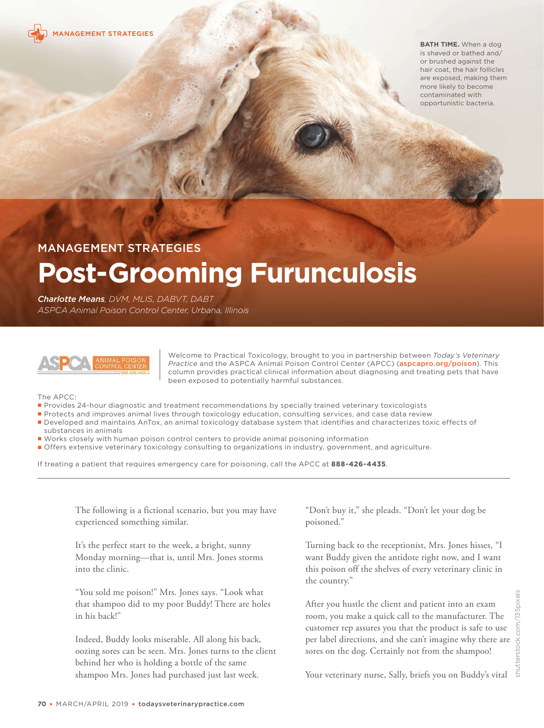

**BATH TIME.** When a dog is shaved or bathed and/ or brushed against the hair coat, the hair follicles are exposed, making them more likely to become contaminated with opportunistic bacteria.

# MANAGEMENT STRATEGIES

# **Post-Grooming Furunculosis**

*Charlotte Means, DVM, MLIS, DABVT, DABT ASPCA Animal Poison Control Center, Urbana, Illinois* 



Welcome to Practical Toxicology, brought to you in partnership between *Today's Veterinary Practice* and the ASPCA Animal Poison Control Center (APCC) ([aspcapro.org/poison](https://www.aspcapro.org/poison)). This column provides practical clinical information about diagnosing and treating pets that have been exposed to potentially harmful substances.

The APCC:

- Provides 24-hour diagnostic and treatment recommendations by specially trained veterinary toxicologists
- Protects and improves animal lives through toxicology education, consulting services, and case data review
- Developed and maintains AnTox, an animal toxicology database system that identifies and characterizes toxic effects of substances in animals
- Works closely with human poison control centers to provide animal poisoning information
- Offers extensive veterinary toxicology consulting to organizations in industry, government, and agriculture.

If treating a patient that requires emergency care for poisoning, call the APCC at **888-426-4435**.

The following is a fictional scenario, but you may have experienced something similar.

It's the perfect start to the week, a bright, sunny Monday morning—that is, until Mrs. Jones storms into the clinic.

"You sold me poison!" Mrs. Jones says. "Look what that shampoo did to my poor Buddy! There are holes in his back!"

Indeed, Buddy looks miserable. All along his back, oozing sores can be seen. Mrs. Jones turns to the client behind her who is holding a bottle of the same shampoo Mrs. Jones had purchased just last week.

"Don't buy it," she pleads. "Don't let your dog be poisoned."

Turning back to the receptionist, Mrs. Jones hisses, "I want Buddy given the antidote right now, and I want this poison off the shelves of every veterinary clinic in the country."

After you hustle the client and patient into an exam room, you make a quick call to the manufacturer. The customer rep assures you that the product is safe to use per label directions, and she can't imagine why there are sores on the dog. Certainly not from the shampoo!

Your veterinary nurse, Sally, briefs you on Buddy's vital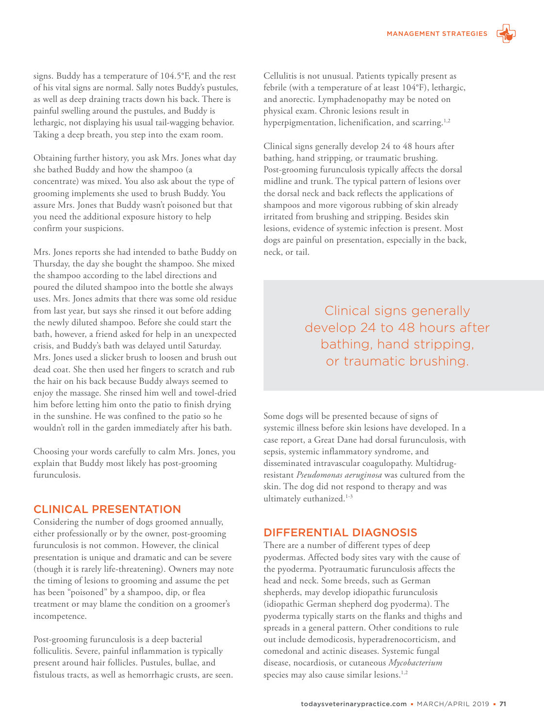signs. Buddy has a temperature of 104.5°F, and the rest of his vital signs are normal. Sally notes Buddy's pustules, as well as deep draining tracts down his back. There is painful swelling around the pustules, and Buddy is lethargic, not displaying his usual tail-wagging behavior. Taking a deep breath, you step into the exam room.

Obtaining further history, you ask Mrs. Jones what day she bathed Buddy and how the shampoo (a concentrate) was mixed. You also ask about the type of grooming implements she used to brush Buddy. You assure Mrs. Jones that Buddy wasn't poisoned but that you need the additional exposure history to help confirm your suspicions.

Mrs. Jones reports she had intended to bathe Buddy on Thursday, the day she bought the shampoo. She mixed the shampoo according to the label directions and poured the diluted shampoo into the bottle she always uses. Mrs. Jones admits that there was some old residue from last year, but says she rinsed it out before adding the newly diluted shampoo. Before she could start the bath, however, a friend asked for help in an unexpected crisis, and Buddy's bath was delayed until Saturday. Mrs. Jones used a slicker brush to loosen and brush out dead coat. She then used her fingers to scratch and rub the hair on his back because Buddy always seemed to enjoy the massage. She rinsed him well and towel-dried him before letting him onto the patio to finish drying in the sunshine. He was confined to the patio so he wouldn't roll in the garden immediately after his bath.

Choosing your words carefully to calm Mrs. Jones, you explain that Buddy most likely has post-grooming furunculosis.

## CLINICAL PRESENTATION

Considering the number of dogs groomed annually, either professionally or by the owner, post-grooming furunculosis is not common. However, the clinical presentation is unique and dramatic and can be severe (though it is rarely life-threatening). Owners may note the timing of lesions to grooming and assume the pet has been "poisoned" by a shampoo, dip, or flea treatment or may blame the condition on a groomer's incompetence.

Post-grooming furunculosis is a deep bacterial folliculitis. Severe, painful inflammation is typically present around hair follicles. Pustules, bullae, and fistulous tracts, as well as hemorrhagic crusts, are seen.

Cellulitis is not unusual. Patients typically present as febrile (with a temperature of at least 104°F), lethargic, and anorectic. Lymphadenopathy may be noted on physical exam. Chronic lesions result in hyperpigmentation, lichenification, and scarring.<sup>1,2</sup>

Clinical signs generally develop 24 to 48 hours after bathing, hand stripping, or traumatic brushing. Post-grooming furunculosis typically affects the dorsal midline and trunk. The typical pattern of lesions over the dorsal neck and back reflects the applications of shampoos and more vigorous rubbing of skin already irritated from brushing and stripping. Besides skin lesions, evidence of systemic infection is present. Most dogs are painful on presentation, especially in the back, neck, or tail.

> Clinical signs generally develop 24 to 48 hours after bathing, hand stripping, or traumatic brushing.

Some dogs will be presented because of signs of systemic illness before skin lesions have developed. In a case report, a Great Dane had dorsal furunculosis, with sepsis, systemic inflammatory syndrome, and disseminated intravascular coagulopathy. Multidrugresistant *Pseudomonas aeruginosa* was cultured from the skin. The dog did not respond to therapy and was ultimately euthanized.<sup>1-3</sup>

# DIFFERENTIAL DIAGNOSIS

There are a number of different types of deep pyodermas. Affected body sites vary with the cause of the pyoderma. Pyotraumatic furunculosis affects the head and neck. Some breeds, such as German shepherds, may develop idiopathic furunculosis (idiopathic German shepherd dog pyoderma). The pyoderma typically starts on the flanks and thighs and spreads in a general pattern. Other conditions to rule out include demodicosis, hyperadrenocorticism, and comedonal and actinic diseases. Systemic fungal disease, nocardiosis, or cutaneous *Mycobacterium* species may also cause similar lesions.<sup>1,2</sup>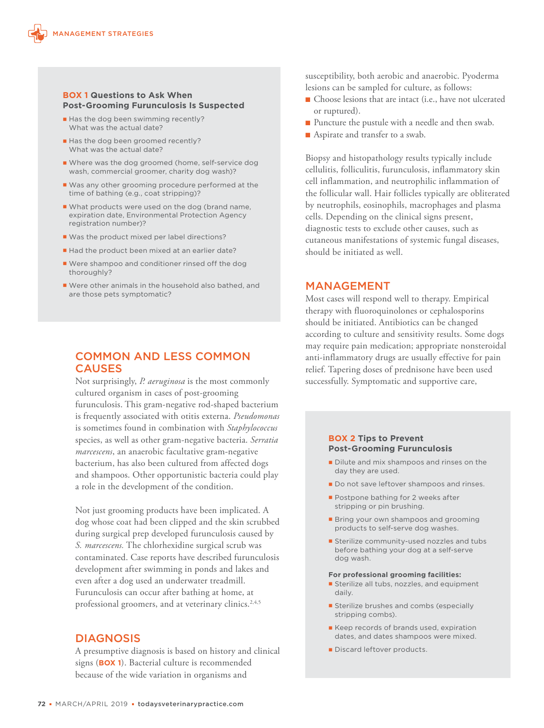#### **BOX 1 Questions to Ask When Post-Grooming Furunculosis Is Suspected**

- Has the dog been swimming recently? What was the actual date?
- Has the dog been groomed recently? What was the actual date?
- Where was the dog groomed (home, self-service dog wash, commercial groomer, charity dog wash)?
- Was any other grooming procedure performed at the time of bathing (e.g., coat stripping)?
- What products were used on the dog (brand name, expiration date, Environmental Protection Agency registration number)?
- Was the product mixed per label directions?
- Had the product been mixed at an earlier date?
- Were shampoo and conditioner rinsed off the dog thoroughly?
- Were other animals in the household also bathed, and are those pets symptomatic?

## COMMON AND LESS COMMON **CAUSES**

Not surprisingly, *P. aeruginosa* is the most commonly cultured organism in cases of post-grooming furunculosis. This gram-negative rod-shaped bacterium is frequently associated with otitis externa. *Pseudomonas* is sometimes found in combination with *Staphylococcus* species, as well as other gram-negative bacteria. *Serratia marcescens*, an anaerobic facultative gram-negative bacterium, has also been cultured from affected dogs and shampoos. Other opportunistic bacteria could play a role in the development of the condition.

Not just grooming products have been implicated. A dog whose coat had been clipped and the skin scrubbed during surgical prep developed furunculosis caused by *S. marcescens.* The chlorhexidine surgical scrub was contaminated. Case reports have described furunculosis development after swimming in ponds and lakes and even after a dog used an underwater treadmill. Furunculosis can occur after bathing at home, at professional groomers, and at veterinary clinics.<sup>2,4,5</sup>

## DIAGNOSIS

A presumptive diagnosis is based on history and clinical signs (**BOX 1**). Bacterial culture is recommended because of the wide variation in organisms and

susceptibility, both aerobic and anaerobic. Pyoderma lesions can be sampled for culture, as follows:

- $\blacksquare$  Choose lesions that are intact (i.e., have not ulcerated or ruptured).
- $\blacksquare$  Puncture the pustule with a needle and then swab.
- $\blacksquare$  Aspirate and transfer to a swab.

Biopsy and histopathology results typically include cellulitis, folliculitis, furunculosis, inflammatory skin cell inflammation, and neutrophilic inflammation of the follicular wall. Hair follicles typically are obliterated by neutrophils, eosinophils, macrophages and plasma cells. Depending on the clinical signs present, diagnostic tests to exclude other causes, such as cutaneous manifestations of systemic fungal diseases, should be initiated as well.

## MANAGEMENT

Most cases will respond well to therapy. Empirical therapy with fluoroquinolones or cephalosporins should be initiated. Antibiotics can be changed according to culture and sensitivity results. Some dogs may require pain medication; appropriate nonsteroidal anti-inflammatory drugs are usually effective for pain relief. Tapering doses of prednisone have been used successfully. Symptomatic and supportive care,

#### **BOX 2 Tips to Prevent Post-Grooming Furunculosis**

- Dilute and mix shampoos and rinses on the day they are used.
- Do not save leftover shampoos and rinses.
- **Postpone bathing for 2 weeks after** stripping or pin brushing.
- **Bring your own shampoos and grooming** products to self-serve dog washes.
- **Sterilize community-used nozzles and tubs** before bathing your dog at a self-serve dog wash.

#### **For professional grooming facilities:**

- **Sterilize all tubs, nozzles, and equipment** daily.
- **Sterilize brushes and combs (especially** stripping combs).
- Keep records of brands used, expiration dates, and dates shampoos were mixed.
- Discard leftover products.